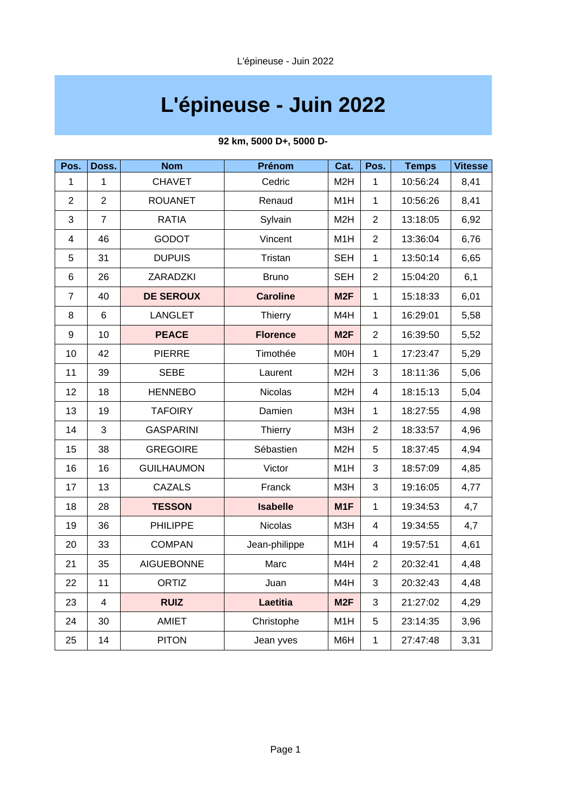# **L'épineuse - Juin 2022**

| Pos.           | Doss.          | <b>Nom</b>        | Prénom          | Cat.             | Pos.           | <b>Temps</b> | <b>Vitesse</b> |
|----------------|----------------|-------------------|-----------------|------------------|----------------|--------------|----------------|
| 1              | 1              | <b>CHAVET</b>     | Cedric          | M <sub>2</sub> H | $\mathbf{1}$   | 10:56:24     | 8,41           |
| $\overline{2}$ | $\overline{2}$ | <b>ROUANET</b>    | Renaud          | M1H              | $\mathbf{1}$   | 10:56:26     | 8,41           |
| 3              | $\overline{7}$ | <b>RATIA</b>      | Sylvain         | M <sub>2</sub> H | $\overline{c}$ | 13:18:05     | 6,92           |
| 4              | 46             | <b>GODOT</b>      | Vincent         | M1H              | $\overline{2}$ | 13:36:04     | 6,76           |
| 5              | 31             | <b>DUPUIS</b>     | Tristan         | <b>SEH</b>       | $\mathbf{1}$   | 13:50:14     | 6,65           |
| $\,6$          | 26             | ZARADZKI          | <b>Bruno</b>    | <b>SEH</b>       | $\overline{c}$ | 15:04:20     | 6,1            |
| $\overline{7}$ | 40             | <b>DE SEROUX</b>  | <b>Caroline</b> | M <sub>2F</sub>  | $\mathbf{1}$   | 15:18:33     | 6,01           |
| 8              | 6              | <b>LANGLET</b>    | Thierry         | M4H              | $\mathbf{1}$   | 16:29:01     | 5,58           |
| 9              | 10             | <b>PEACE</b>      | <b>Florence</b> | M <sub>2F</sub>  | $\overline{2}$ | 16:39:50     | 5,52           |
| 10             | 42             | <b>PIERRE</b>     | Timothée        | M0H              | $\mathbf{1}$   | 17:23:47     | 5,29           |
| 11             | 39             | <b>SEBE</b>       | Laurent         | M <sub>2</sub> H | 3              | 18:11:36     | 5,06           |
| 12             | 18             | <b>HENNEBO</b>    | <b>Nicolas</b>  | M <sub>2</sub> H | $\overline{4}$ | 18:15:13     | 5,04           |
| 13             | 19             | <b>TAFOIRY</b>    | Damien          | МЗН              | $\mathbf{1}$   | 18:27:55     | 4,98           |
| 14             | 3              | <b>GASPARINI</b>  | Thierry         | M3H              | $\overline{2}$ | 18:33:57     | 4,96           |
| 15             | 38             | <b>GREGOIRE</b>   | Sébastien       | M <sub>2</sub> H | 5              | 18:37:45     | 4,94           |
| 16             | 16             | <b>GUILHAUMON</b> | Victor          | M1H              | 3              | 18:57:09     | 4,85           |
| 17             | 13             | <b>CAZALS</b>     | Franck          | M3H              | 3              | 19:16:05     | 4,77           |
| 18             | 28             | <b>TESSON</b>     | <b>Isabelle</b> | M1F              | $\mathbf{1}$   | 19:34:53     | 4,7            |
| 19             | 36             | <b>PHILIPPE</b>   | <b>Nicolas</b>  | M3H              | $\overline{4}$ | 19:34:55     | 4,7            |
| 20             | 33             | <b>COMPAN</b>     | Jean-philippe   | M1H              | $\overline{4}$ | 19:57:51     | 4,61           |
| 21             | 35             | <b>AIGUEBONNE</b> | Marc            | M4H              | $\overline{2}$ | 20:32:41     | 4,48           |
| 22             | 11             | ORTIZ             | Juan            | M4H              | 3              | 20:32:43     | 4,48           |
| 23             | $\overline{4}$ | <b>RUIZ</b>       | Laetitia        | M <sub>2F</sub>  | 3              | 21:27:02     | 4,29           |
| 24             | 30             | AMIET             | Christophe      | M1H              | 5              | 23:14:35     | 3,96           |
| 25             | 14             | <b>PITON</b>      | Jean yves       | M6H              | $\mathbf 1$    | 27:47:48     | 3,31           |

### **92 km, 5000 D+, 5000 D-**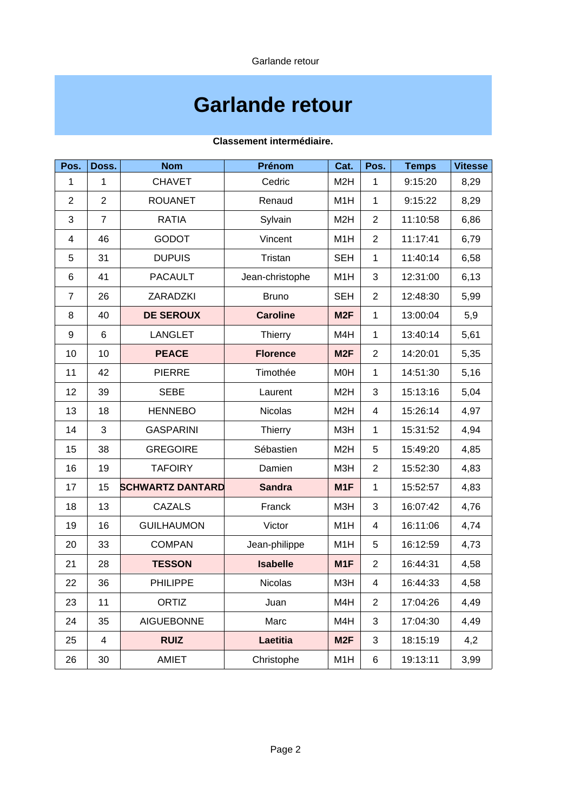Garlande retour

## **Garlande retour**

| Pos.             | Doss.          | <b>Nom</b>              | Prénom          | Cat.             | Pos.           | <b>Temps</b> | <b>Vitesse</b> |
|------------------|----------------|-------------------------|-----------------|------------------|----------------|--------------|----------------|
| $\mathbf{1}$     | $\mathbf{1}$   | <b>CHAVET</b>           | Cedric          | M <sub>2</sub> H | $\mathbf{1}$   | 9:15:20      | 8,29           |
| $\overline{c}$   | $\overline{c}$ | <b>ROUANET</b>          | Renaud          | M1H              | $\mathbf{1}$   | 9:15:22      | 8,29           |
| 3                | $\overline{7}$ | <b>RATIA</b>            | Sylvain         | M <sub>2</sub> H | $\overline{2}$ | 11:10:58     | 6,86           |
| 4                | 46             | <b>GODOT</b>            | Vincent         | M1H              | $\overline{2}$ | 11:17:41     | 6,79           |
| 5                | 31             | <b>DUPUIS</b>           | Tristan         | <b>SEH</b>       | $\mathbf{1}$   | 11:40:14     | 6,58           |
| 6                | 41             | <b>PACAULT</b>          | Jean-christophe | M1H              | 3              | 12:31:00     | 6,13           |
| 7                | 26             | ZARADZKI                | <b>Bruno</b>    | <b>SEH</b>       | $\overline{c}$ | 12:48:30     | 5,99           |
| 8                | 40             | <b>DE SEROUX</b>        | <b>Caroline</b> | M <sub>2F</sub>  | $\mathbf{1}$   | 13:00:04     | 5,9            |
| $\boldsymbol{9}$ | 6              | <b>LANGLET</b>          | Thierry         | M4H              | $\mathbf{1}$   | 13:40:14     | 5,61           |
| 10               | 10             | <b>PEACE</b>            | <b>Florence</b> | M <sub>2F</sub>  | $\overline{2}$ | 14:20:01     | 5,35           |
| 11               | 42             | <b>PIERRE</b>           | Timothée        | <b>MOH</b>       | $\mathbf{1}$   | 14:51:30     | 5,16           |
| 12               | 39             | <b>SEBE</b>             | Laurent         | M <sub>2</sub> H | 3              | 15:13:16     | 5,04           |
| 13               | 18             | <b>HENNEBO</b>          | <b>Nicolas</b>  | M <sub>2</sub> H | 4              | 15:26:14     | 4,97           |
| 14               | 3              | <b>GASPARINI</b>        | Thierry         | M3H              | $\mathbf{1}$   | 15:31:52     | 4,94           |
| 15               | 38             | <b>GREGOIRE</b>         | Sébastien       | M <sub>2</sub> H | 5              | 15:49:20     | 4,85           |
| 16               | 19             | <b>TAFOIRY</b>          | Damien          | M3H              | $\overline{2}$ | 15:52:30     | 4,83           |
| 17               | 15             | <b>SCHWARTZ DANTARD</b> | <b>Sandra</b>   | M1F              | $\mathbf{1}$   | 15:52:57     | 4,83           |
| 18               | 13             | <b>CAZALS</b>           | Franck          | M3H              | 3              | 16:07:42     | 4,76           |
| 19               | 16             | <b>GUILHAUMON</b>       | Victor          | M1H              | 4              | 16:11:06     | 4,74           |
| 20               | 33             | <b>COMPAN</b>           | Jean-philippe   | M1H              | 5              | 16:12:59     | 4,73           |
| 21               | 28             | <b>TESSON</b>           | <b>Isabelle</b> | M1F              | $\overline{c}$ | 16:44:31     | 4,58           |
| 22               | 36             | <b>PHILIPPE</b>         | <b>Nicolas</b>  | M3H              | $\overline{4}$ | 16:44:33     | 4,58           |
| 23               | 11             | ORTIZ                   | Juan            | M4H              | $\overline{c}$ | 17:04:26     | 4,49           |
| 24               | 35             | <b>AIGUEBONNE</b>       | Marc            | M4H              | 3              | 17:04:30     | 4,49           |
| 25               | 4              | <b>RUIZ</b>             | Laetitia        | M <sub>2F</sub>  | 3              | 18:15:19     | 4,2            |
| 26               | 30             | AMIET                   | Christophe      | M1H              | 6              | 19:13:11     | 3,99           |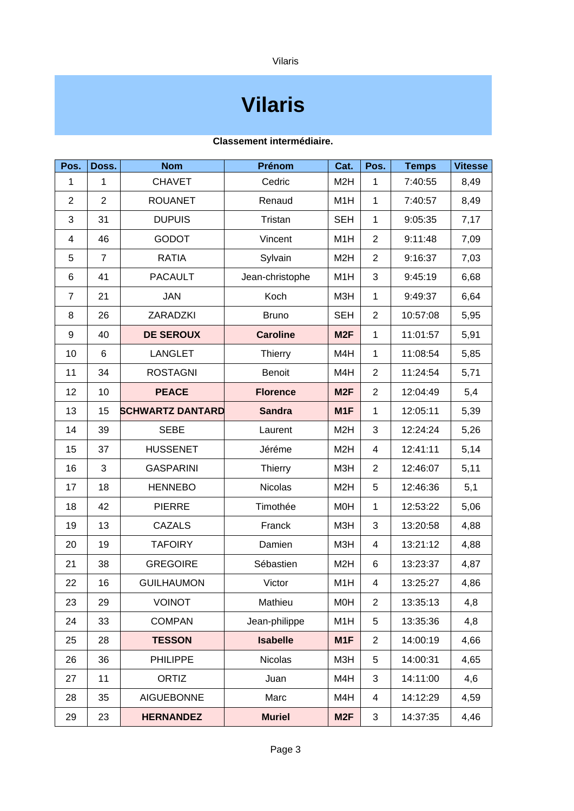Vilaris

## **Vilaris**

| Pos.           | Doss.          | <b>Nom</b>              | <b>Prénom</b>   | Cat.             | Pos.           | <b>Temps</b> | <b>Vitesse</b> |
|----------------|----------------|-------------------------|-----------------|------------------|----------------|--------------|----------------|
| $\mathbf{1}$   | $\mathbf{1}$   | <b>CHAVET</b>           | Cedric          | M <sub>2</sub> H | $\mathbf{1}$   | 7:40:55      | 8,49           |
| $\overline{c}$ | 2              | <b>ROUANET</b>          | Renaud          | M1H              | $\mathbf{1}$   | 7:40:57      | 8,49           |
| 3              | 31             | <b>DUPUIS</b>           | Tristan         | <b>SEH</b>       | $\mathbf{1}$   | 9:05:35      | 7,17           |
| 4              | 46             | <b>GODOT</b>            | Vincent         | M1H              | $\overline{2}$ | 9:11:48      | 7,09           |
| 5              | $\overline{7}$ | <b>RATIA</b>            | Sylvain         | M <sub>2</sub> H | $\overline{c}$ | 9:16:37      | 7,03           |
| 6              | 41             | <b>PACAULT</b>          | Jean-christophe | M1H              | 3              | 9:45:19      | 6,68           |
| $\overline{7}$ | 21             | <b>JAN</b>              | Koch            | M3H              | $\mathbf{1}$   | 9:49:37      | 6,64           |
| 8              | 26             | ZARADZKI                | <b>Bruno</b>    | <b>SEH</b>       | $\overline{c}$ | 10:57:08     | 5,95           |
| 9              | 40             | <b>DE SEROUX</b>        | <b>Caroline</b> | M <sub>2F</sub>  | $\mathbf{1}$   | 11:01:57     | 5,91           |
| 10             | $6\phantom{1}$ | <b>LANGLET</b>          | Thierry         | M4H              | $\mathbf{1}$   | 11:08:54     | 5,85           |
| 11             | 34             | <b>ROSTAGNI</b>         | <b>Benoit</b>   | M4H              | $\overline{c}$ | 11:24:54     | 5,71           |
| 12             | 10             | <b>PEACE</b>            | <b>Florence</b> | M <sub>2F</sub>  | $\overline{c}$ | 12:04:49     | 5,4            |
| 13             | 15             | <b>SCHWARTZ DANTARD</b> | <b>Sandra</b>   | M1F              | $\mathbf{1}$   | 12:05:11     | 5,39           |
| 14             | 39             | <b>SEBE</b>             | Laurent         | M <sub>2</sub> H | 3              | 12:24:24     | 5,26           |
| 15             | 37             | <b>HUSSENET</b>         | Jéréme          | M <sub>2</sub> H | $\overline{4}$ | 12:41:11     | 5,14           |
| 16             | 3              | <b>GASPARINI</b>        | Thierry         | M3H              | $\overline{c}$ | 12:46:07     | 5,11           |
| 17             | 18             | <b>HENNEBO</b>          | <b>Nicolas</b>  | M <sub>2</sub> H | 5              | 12:46:36     | 5,1            |
| 18             | 42             | <b>PIERRE</b>           | Timothée        | <b>MOH</b>       | $\mathbf{1}$   | 12:53:22     | 5,06           |
| 19             | 13             | <b>CAZALS</b>           | Franck          | M3H              | 3              | 13:20:58     | 4,88           |
| 20             | 19             | <b>TAFOIRY</b>          | Damien          | M3H              | $\overline{4}$ | 13:21:12     | 4,88           |
| 21             | 38             | <b>GREGOIRE</b>         | Sébastien       | M <sub>2</sub> H | 6              | 13:23:37     | 4,87           |
| 22             | 16             | <b>GUILHAUMON</b>       | Victor          | M1H              | 4              | 13:25:27     | 4,86           |
| 23             | 29             | <b>VOINOT</b>           | Mathieu         | <b>MOH</b>       | $\overline{c}$ | 13:35:13     | 4,8            |
| 24             | 33             | <b>COMPAN</b>           | Jean-philippe   | M1H              | 5              | 13:35:36     | 4,8            |
| 25             | 28             | <b>TESSON</b>           | <b>Isabelle</b> | M1F              | $\overline{2}$ | 14:00:19     | 4,66           |
| 26             | 36             | PHILIPPE                | <b>Nicolas</b>  | M3H              | 5              | 14:00:31     | 4,65           |
| 27             | 11             | ORTIZ                   | Juan            | M4H              | 3              | 14:11:00     | 4,6            |
| 28             | 35             | <b>AIGUEBONNE</b>       | Marc            | M4H              | $\overline{a}$ | 14:12:29     | 4,59           |
| 29             | 23             | <b>HERNANDEZ</b>        | <b>Muriel</b>   | M <sub>2F</sub>  | 3              | 14:37:35     | 4,46           |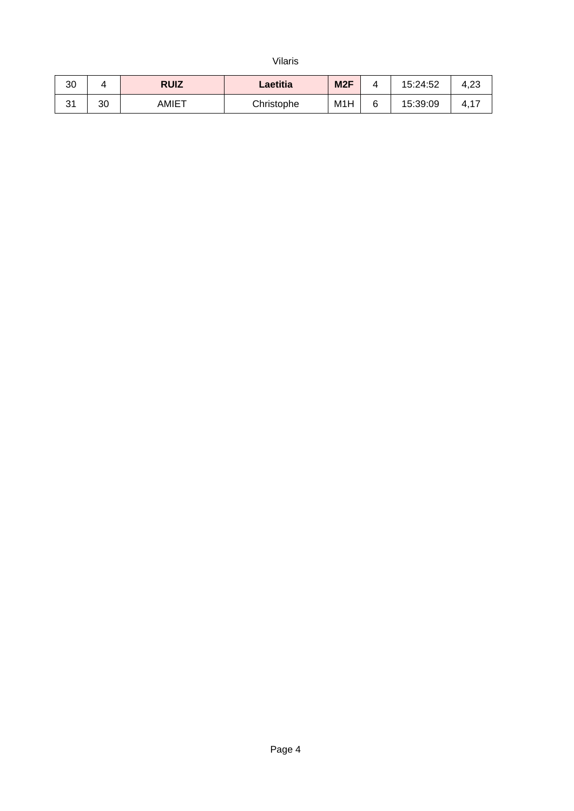Vilaris

| 30           |    | <b>RUIZ</b> | Laetitia   | M <sub>2F</sub> | 15:24:52 | 4,23 |
|--------------|----|-------------|------------|-----------------|----------|------|
| $\sim$<br>⊥ت | 30 | AMIET       | Christophe | M1H             | 15:39:09 | 4,1, |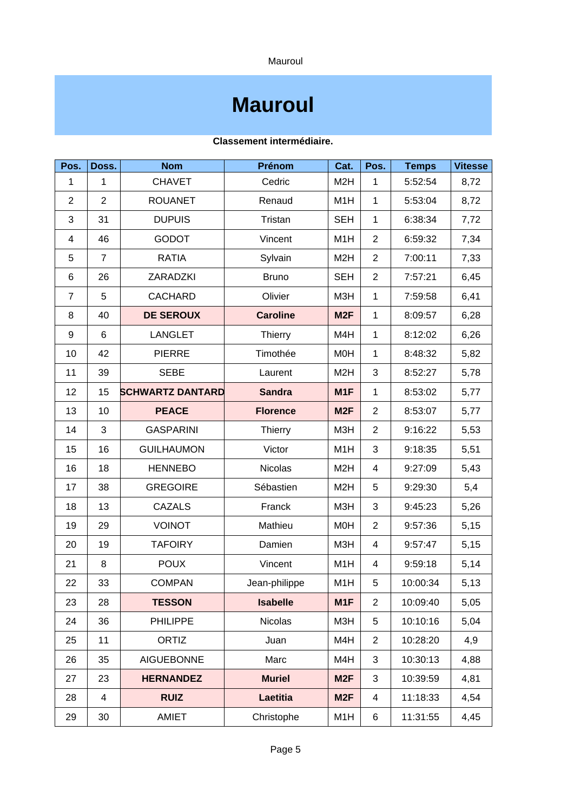Mauroul

### **Mauroul**

| Pos.           | Doss.          | <b>Nom</b>              | Prénom          | Cat.             | Pos.           | <b>Temps</b> | <b>Vitesse</b> |
|----------------|----------------|-------------------------|-----------------|------------------|----------------|--------------|----------------|
| $\mathbf{1}$   | $\mathbf{1}$   | <b>CHAVET</b>           | Cedric          | M <sub>2</sub> H | $\mathbf{1}$   | 5:52:54      | 8,72           |
| $\overline{c}$ | $\overline{2}$ | <b>ROUANET</b>          | Renaud          | M1H              | $\mathbf{1}$   | 5:53:04      | 8,72           |
| 3              | 31             | <b>DUPUIS</b>           | Tristan         | <b>SEH</b>       | $\mathbf{1}$   | 6:38:34      | 7,72           |
| 4              | 46             | <b>GODOT</b>            | Vincent         | M1H              | $\overline{2}$ | 6:59:32      | 7,34           |
| 5              | 7              | <b>RATIA</b>            | Sylvain         | M <sub>2</sub> H | $\overline{c}$ | 7:00:11      | 7,33           |
| 6              | 26             | ZARADZKI                | <b>Bruno</b>    | <b>SEH</b>       | $\overline{c}$ | 7:57:21      | 6,45           |
| $\overline{7}$ | 5              | <b>CACHARD</b>          | Olivier         | M3H              | $\mathbf{1}$   | 7:59:58      | 6,41           |
| 8              | 40             | <b>DE SEROUX</b>        | <b>Caroline</b> | M <sub>2F</sub>  | $\mathbf{1}$   | 8:09:57      | 6,28           |
| 9              | $6\phantom{1}$ | <b>LANGLET</b>          | Thierry         | M4H              | $\mathbf{1}$   | 8:12:02      | 6,26           |
| 10             | 42             | <b>PIERRE</b>           | Timothée        | M <sub>O</sub> H | $\mathbf{1}$   | 8:48:32      | 5,82           |
| 11             | 39             | <b>SEBE</b>             | Laurent         | M <sub>2</sub> H | 3              | 8:52:27      | 5,78           |
| 12             | 15             | <b>SCHWARTZ DANTARD</b> | <b>Sandra</b>   | M1F              | $\mathbf{1}$   | 8:53:02      | 5,77           |
| 13             | 10             | <b>PEACE</b>            | <b>Florence</b> | M <sub>2F</sub>  | $\overline{c}$ | 8:53:07      | 5,77           |
| 14             | 3              | <b>GASPARINI</b>        | Thierry         | M3H              | $\overline{2}$ | 9:16:22      | 5,53           |
| 15             | 16             | <b>GUILHAUMON</b>       | Victor          | M1H              | 3              | 9:18:35      | 5,51           |
| 16             | 18             | <b>HENNEBO</b>          | <b>Nicolas</b>  | M <sub>2</sub> H | 4              | 9:27:09      | 5,43           |
| 17             | 38             | <b>GREGOIRE</b>         | Sébastien       | M <sub>2</sub> H | 5              | 9:29:30      | 5,4            |
| 18             | 13             | <b>CAZALS</b>           | Franck          | M3H              | 3              | 9:45:23      | 5,26           |
| 19             | 29             | <b>VOINOT</b>           | Mathieu         | M0H              | $\overline{2}$ | 9:57:36      | 5,15           |
| 20             | 19             | <b>TAFOIRY</b>          | Damien          | M3H              | 4              | 9:57:47      | 5,15           |
| 21             | 8              | <b>POUX</b>             | Vincent         | M1H              | 4              | 9:59:18      | 5,14           |
| 22             | 33             | <b>COMPAN</b>           | Jean-philippe   | M1H              | 5              | 10:00:34     | 5,13           |
| 23             | 28             | <b>TESSON</b>           | <b>Isabelle</b> | M1F              | 2              | 10:09:40     | 5,05           |
| 24             | 36             | <b>PHILIPPE</b>         | <b>Nicolas</b>  | M3H              | 5              | 10:10:16     | 5,04           |
| 25             | 11             | ORTIZ                   | Juan            | M4H              | $\overline{c}$ | 10:28:20     | 4,9            |
| 26             | 35             | <b>AIGUEBONNE</b>       | Marc            | M4H              | 3              | 10:30:13     | 4,88           |
| 27             | 23             | <b>HERNANDEZ</b>        | <b>Muriel</b>   | M <sub>2F</sub>  | 3              | 10:39:59     | 4,81           |
| 28             | $\overline{4}$ | <b>RUIZ</b>             | Laetitia        | M <sub>2F</sub>  | $\overline{4}$ | 11:18:33     | 4,54           |
| 29             | 30             | AMIET                   | Christophe      | M1H              | 6              | 11:31:55     | 4,45           |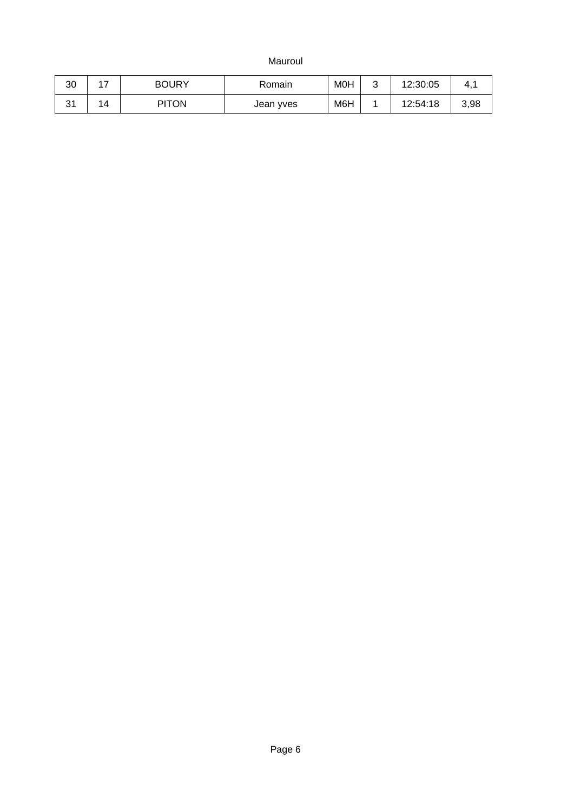Mauroul

| 30           | . –<br><u>.</u> | <b>BOURY</b> | Romain    | <b>MOH</b> | ⌒<br>ີ | 12:30:05 | 4,⊥  |
|--------------|-----------------|--------------|-----------|------------|--------|----------|------|
| $\sim$<br>⊾ت | 14              | <b>PITON</b> | Jean yves | M6H        | --     | 12:54:18 | 3,98 |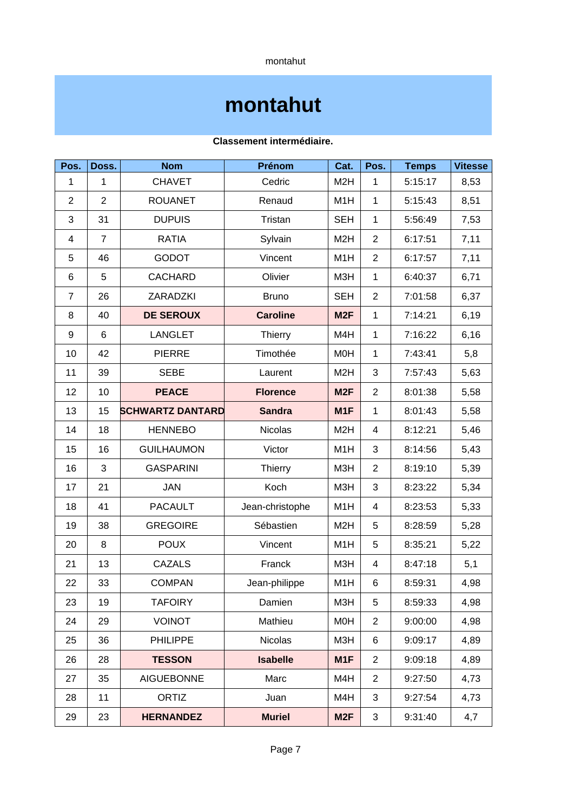montahut

### **montahut**

| Pos.           | Doss.          | <b>Nom</b>              | Prénom          | Cat.             | Pos.           | <b>Temps</b> | <b>Vitesse</b> |
|----------------|----------------|-------------------------|-----------------|------------------|----------------|--------------|----------------|
| $\mathbf{1}$   | $\mathbf{1}$   | <b>CHAVET</b>           | Cedric          | M <sub>2</sub> H | $\mathbf{1}$   | 5:15:17      | 8,53           |
| $\overline{c}$ | $\overline{c}$ | <b>ROUANET</b>          | Renaud          | M1H              | $\mathbf{1}$   | 5:15:43      | 8,51           |
| 3              | 31             | <b>DUPUIS</b>           | Tristan         | <b>SEH</b>       | $\mathbf{1}$   | 5:56:49      | 7,53           |
| 4              | $\overline{7}$ | <b>RATIA</b>            | Sylvain         | M <sub>2</sub> H | $\overline{2}$ | 6:17:51      | 7,11           |
| 5              | 46             | <b>GODOT</b>            | Vincent         | M1H              | $\overline{2}$ | 6:17:57      | 7,11           |
| 6              | 5              | <b>CACHARD</b>          | Olivier         | M3H              | $\mathbf{1}$   | 6:40:37      | 6,71           |
| $\overline{7}$ | 26             | ZARADZKI                | <b>Bruno</b>    | <b>SEH</b>       | $\overline{2}$ | 7:01:58      | 6,37           |
| 8              | 40             | <b>DE SEROUX</b>        | <b>Caroline</b> | M <sub>2F</sub>  | $\mathbf{1}$   | 7:14:21      | 6,19           |
| 9              | $6\phantom{1}$ | <b>LANGLET</b>          | Thierry         | M4H              | $\mathbf{1}$   | 7:16:22      | 6,16           |
| 10             | 42             | <b>PIERRE</b>           | Timothée        | M0H              | $\mathbf{1}$   | 7:43:41      | 5,8            |
| 11             | 39             | <b>SEBE</b>             | Laurent         | M <sub>2</sub> H | 3              | 7:57:43      | 5,63           |
| 12             | 10             | <b>PEACE</b>            | <b>Florence</b> | M <sub>2F</sub>  | $\overline{c}$ | 8:01:38      | 5,58           |
| 13             | 15             | <b>SCHWARTZ DANTARD</b> | <b>Sandra</b>   | M1F              | $\mathbf{1}$   | 8:01:43      | 5,58           |
| 14             | 18             | <b>HENNEBO</b>          | <b>Nicolas</b>  | M <sub>2</sub> H | 4              | 8:12:21      | 5,46           |
| 15             | 16             | <b>GUILHAUMON</b>       | Victor          | M1H              | 3              | 8:14:56      | 5,43           |
| 16             | 3              | <b>GASPARINI</b>        | Thierry         | M3H              | $\overline{c}$ | 8:19:10      | 5,39           |
| 17             | 21             | <b>JAN</b>              | Koch            | M3H              | 3              | 8:23:22      | 5,34           |
| 18             | 41             | <b>PACAULT</b>          | Jean-christophe | M1H              | 4              | 8:23:53      | 5,33           |
| 19             | 38             | <b>GREGOIRE</b>         | Sébastien       | M <sub>2</sub> H | 5              | 8:28:59      | 5,28           |
| 20             | 8              | <b>POUX</b>             | Vincent         | M1H              | 5              | 8:35:21      | 5,22           |
| 21             | 13             | <b>CAZALS</b>           | Franck          | M3H              | 4              | 8:47:18      | 5,1            |
| 22             | 33             | <b>COMPAN</b>           | Jean-philippe   | M1H              | 6              | 8:59:31      | 4,98           |
| 23             | 19             | <b>TAFOIRY</b>          | Damien          | M3H              | 5              | 8:59:33      | 4,98           |
| 24             | 29             | <b>VOINOT</b>           | Mathieu         | <b>MOH</b>       | $\overline{c}$ | 9:00:00      | 4,98           |
| 25             | 36             | <b>PHILIPPE</b>         | <b>Nicolas</b>  | M3H              | 6              | 9:09:17      | 4,89           |
| 26             | 28             | <b>TESSON</b>           | <b>Isabelle</b> | M1F              | $\overline{2}$ | 9:09:18      | 4,89           |
| 27             | 35             | <b>AIGUEBONNE</b>       | Marc            | M4H              | $\overline{c}$ | 9:27:50      | 4,73           |
| 28             | 11             | ORTIZ                   | Juan            | M4H              | 3              | 9:27:54      | 4,73           |
| 29             | 23             | <b>HERNANDEZ</b>        | <b>Muriel</b>   | M <sub>2F</sub>  | 3              | 9:31:40      | 4,7            |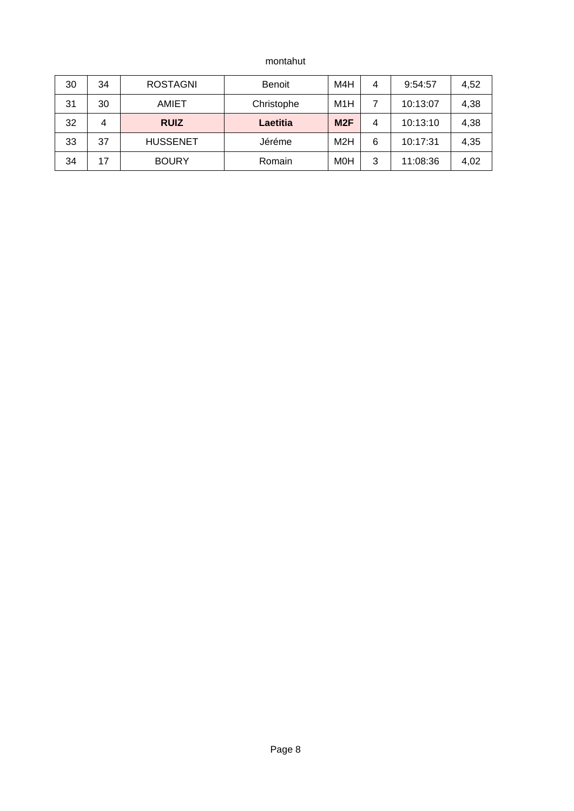montahut

| 30 | 34 | <b>ROSTAGNI</b> | <b>Benoit</b> | M4H        | 4 | 9:54:57  | 4,52 |
|----|----|-----------------|---------------|------------|---|----------|------|
| 31 | 30 | <b>AMIET</b>    | Christophe    | M1H        |   | 10:13:07 | 4,38 |
| 32 | 4  | <b>RUIZ</b>     | Laetitia      | M2F        | 4 | 10:13:10 | 4,38 |
| 33 | 37 | <b>HUSSENET</b> | Jéréme        | M2H        | 6 | 10:17:31 | 4,35 |
| 34 | 17 | <b>BOURY</b>    | Romain        | <b>MOH</b> | 3 | 11:08:36 | 4,02 |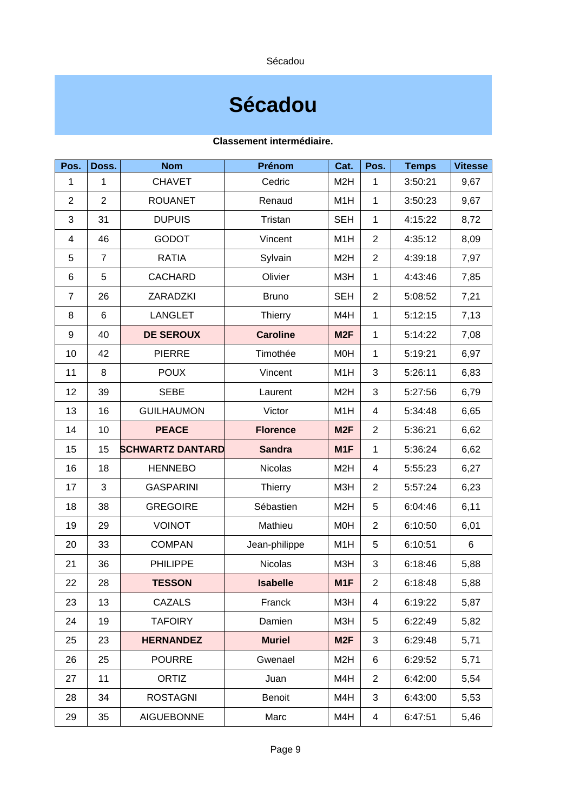Sécadou

### **Sécadou**

| Pos.           | Doss.          | <b>Nom</b>              | Prénom          | Cat.             | Pos.           | <b>Temps</b> | <b>Vitesse</b> |
|----------------|----------------|-------------------------|-----------------|------------------|----------------|--------------|----------------|
| $\mathbf{1}$   | $\mathbf{1}$   | <b>CHAVET</b>           | Cedric          | M <sub>2</sub> H | $\mathbf{1}$   | 3:50:21      | 9,67           |
| $\overline{c}$ | 2              | <b>ROUANET</b>          | Renaud          | M1H              | $\mathbf{1}$   | 3:50:23      | 9,67           |
| 3              | 31             | <b>DUPUIS</b>           | Tristan         | <b>SEH</b>       | $\mathbf{1}$   | 4:15:22      | 8,72           |
| 4              | 46             | <b>GODOT</b>            | Vincent         | M1H              | $\overline{2}$ | 4:35:12      | 8,09           |
| 5              | $\overline{7}$ | <b>RATIA</b>            | Sylvain         | M <sub>2</sub> H | $\overline{c}$ | 4:39:18      | 7,97           |
| 6              | 5              | <b>CACHARD</b>          | Olivier         | M3H              | $\mathbf{1}$   | 4:43:46      | 7,85           |
| $\overline{7}$ | 26             | ZARADZKI                | <b>Bruno</b>    | <b>SEH</b>       | $\overline{2}$ | 5:08:52      | 7,21           |
| 8              | 6              | <b>LANGLET</b>          | Thierry         | M4H              | $\mathbf{1}$   | 5:12:15      | 7,13           |
| 9              | 40             | <b>DE SEROUX</b>        | <b>Caroline</b> | M <sub>2F</sub>  | $\mathbf{1}$   | 5:14:22      | 7,08           |
| 10             | 42             | <b>PIERRE</b>           | Timothée        | M0H              | $\mathbf{1}$   | 5:19:21      | 6,97           |
| 11             | 8              | <b>POUX</b>             | Vincent         | M1H              | 3              | 5:26:11      | 6,83           |
| 12             | 39             | <b>SEBE</b>             | Laurent         | M <sub>2</sub> H | 3              | 5:27:56      | 6,79           |
| 13             | 16             | <b>GUILHAUMON</b>       | Victor          | M1H              | 4              | 5:34:48      | 6,65           |
| 14             | 10             | <b>PEACE</b>            | <b>Florence</b> | M <sub>2F</sub>  | $\overline{c}$ | 5:36:21      | 6,62           |
| 15             | 15             | <b>SCHWARTZ DANTARD</b> | <b>Sandra</b>   | M1F              | $\mathbf{1}$   | 5:36:24      | 6,62           |
| 16             | 18             | <b>HENNEBO</b>          | <b>Nicolas</b>  | M <sub>2</sub> H | 4              | 5:55:23      | 6,27           |
| 17             | 3              | <b>GASPARINI</b>        | Thierry         | M3H              | $\overline{c}$ | 5:57:24      | 6,23           |
| 18             | 38             | <b>GREGOIRE</b>         | Sébastien       | M <sub>2</sub> H | 5              | 6:04:46      | 6,11           |
| 19             | 29             | <b>VOINOT</b>           | Mathieu         | M0H              | $\overline{c}$ | 6:10:50      | 6,01           |
| 20             | 33             | <b>COMPAN</b>           | Jean-philippe   | M1H              | 5              | 6:10:51      | 6              |
| 21             | 36             | <b>PHILIPPE</b>         | Nicolas         | M3H              | 3              | 6:18:46      | 5,88           |
| 22             | 28             | <b>TESSON</b>           | <b>Isabelle</b> | M1F              | $\overline{c}$ | 6:18:48      | 5,88           |
| 23             | 13             | CAZALS                  | Franck          | M3H              | 4              | 6:19:22      | 5,87           |
| 24             | 19             | <b>TAFOIRY</b>          | Damien          | M3H              | 5              | 6:22:49      | 5,82           |
| 25             | 23             | <b>HERNANDEZ</b>        | <b>Muriel</b>   | M <sub>2F</sub>  | 3              | 6:29:48      | 5,71           |
| 26             | 25             | <b>POURRE</b>           | Gwenael         | M <sub>2</sub> H | 6              | 6:29:52      | 5,71           |
| 27             | 11             | ORTIZ                   | Juan            | M4H              | $\overline{c}$ | 6:42:00      | 5,54           |
| 28             | 34             | <b>ROSTAGNI</b>         | <b>Benoit</b>   | M4H              | 3              | 6:43:00      | 5,53           |
| 29             | 35             | <b>AIGUEBONNE</b>       | Marc            | M4H              | $\overline{4}$ | 6:47:51      | 5,46           |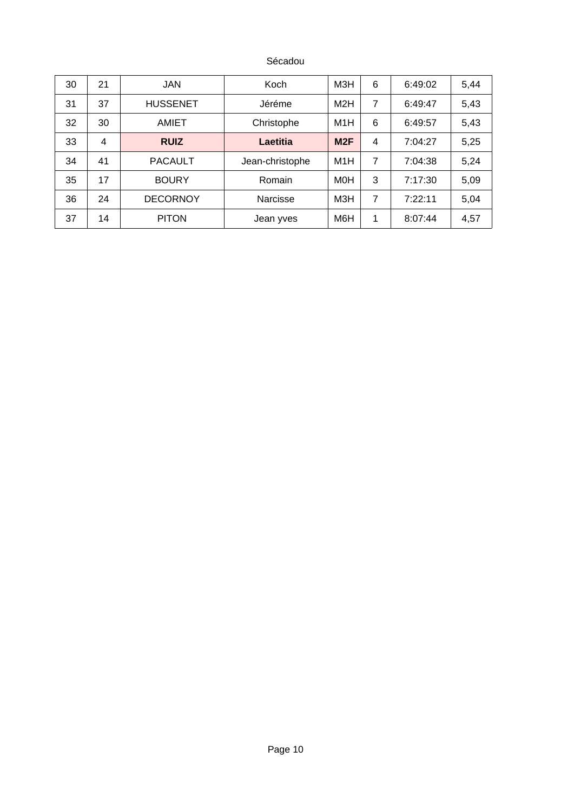Sécadou

| 30 | 21 | <b>JAN</b>      | Koch            | МЗН | 6 | 6:49:02 | 5,44 |
|----|----|-----------------|-----------------|-----|---|---------|------|
| 31 | 37 | <b>HUSSENET</b> | Jéréme          | M2H | 7 | 6:49:47 | 5,43 |
| 32 | 30 | <b>AMIET</b>    | Christophe      | M1H | 6 | 6:49:57 | 5,43 |
| 33 | 4  | <b>RUIZ</b>     | Laetitia        | M2F | 4 | 7:04:27 | 5,25 |
| 34 | 41 | <b>PACAULT</b>  | Jean-christophe | M1H | 7 | 7:04:38 | 5,24 |
| 35 | 17 | <b>BOURY</b>    | Romain          | M0H | 3 | 7:17:30 | 5,09 |
| 36 | 24 | <b>DECORNOY</b> | Narcisse        | МЗН | 7 | 7:22:11 | 5,04 |
| 37 | 14 | <b>PITON</b>    | Jean yves       | M6H | 1 | 8:07:44 | 4,57 |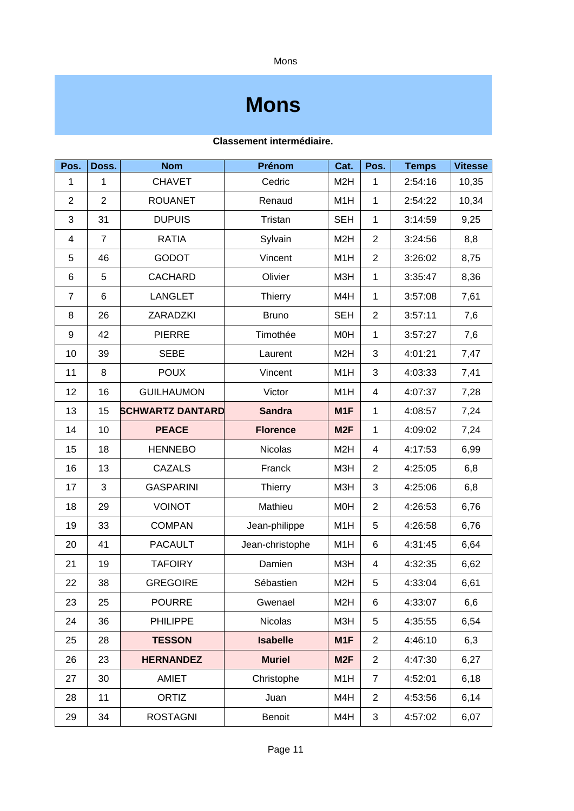Mons

### **Mons**

| Pos.           | Doss.          | <b>Nom</b>              | Prénom          | Cat.             | Pos.           | <b>Temps</b> | <b>Vitesse</b> |
|----------------|----------------|-------------------------|-----------------|------------------|----------------|--------------|----------------|
| $\mathbf{1}$   | $\mathbf{1}$   | <b>CHAVET</b>           | Cedric          | M <sub>2</sub> H | $\mathbf{1}$   | 2:54:16      | 10,35          |
| $\overline{c}$ | $\overline{c}$ | <b>ROUANET</b>          | Renaud          | M1H              | $\mathbf{1}$   | 2:54:22      | 10,34          |
| 3              | 31             | <b>DUPUIS</b>           | Tristan         | <b>SEH</b>       | $\mathbf{1}$   | 3:14:59      | 9,25           |
| 4              | $\overline{7}$ | <b>RATIA</b>            | Sylvain         | M <sub>2</sub> H | $\overline{2}$ | 3:24:56      | 8,8            |
| 5              | 46             | <b>GODOT</b>            | Vincent         | M1H              | $\overline{c}$ | 3:26:02      | 8,75           |
| 6              | 5              | <b>CACHARD</b>          | Olivier         | M3H              | $\mathbf{1}$   | 3:35:47      | 8,36           |
| 7              | 6              | <b>LANGLET</b>          | Thierry         | M4H              | $\mathbf{1}$   | 3:57:08      | 7,61           |
| 8              | 26             | ZARADZKI                | <b>Bruno</b>    | <b>SEH</b>       | $\overline{c}$ | 3:57:11      | 7,6            |
| 9              | 42             | <b>PIERRE</b>           | Timothée        | <b>MOH</b>       | $\mathbf{1}$   | 3:57:27      | 7,6            |
| 10             | 39             | <b>SEBE</b>             | Laurent         | M <sub>2</sub> H | 3              | 4:01:21      | 7,47           |
| 11             | 8              | <b>POUX</b>             | Vincent         | M1H              | 3              | 4:03:33      | 7,41           |
| 12             | 16             | <b>GUILHAUMON</b>       | Victor          | M1H              | $\sqrt{4}$     | 4:07:37      | 7,28           |
| 13             | 15             | <b>SCHWARTZ DANTARD</b> | <b>Sandra</b>   | M1F              | $\mathbf{1}$   | 4:08:57      | 7,24           |
| 14             | 10             | <b>PEACE</b>            | <b>Florence</b> | M <sub>2F</sub>  | $\mathbf{1}$   | 4:09:02      | 7,24           |
| 15             | 18             | <b>HENNEBO</b>          | <b>Nicolas</b>  | M <sub>2</sub> H | $\sqrt{4}$     | 4:17:53      | 6,99           |
| 16             | 13             | <b>CAZALS</b>           | Franck          | M3H              | $\overline{c}$ | 4:25:05      | 6,8            |
| 17             | 3              | <b>GASPARINI</b>        | Thierry         | M3H              | 3              | 4:25:06      | 6,8            |
| 18             | 29             | <b>VOINOT</b>           | Mathieu         | <b>MOH</b>       | $\overline{c}$ | 4:26:53      | 6,76           |
| 19             | 33             | <b>COMPAN</b>           | Jean-philippe   | M1H              | 5              | 4:26:58      | 6,76           |
| 20             | 41             | <b>PACAULT</b>          | Jean-christophe | M1H              | $\,6$          | 4:31:45      | 6,64           |
| 21             | 19             | <b>TAFOIRY</b>          | Damien          | M3H              | 4              | 4:32:35      | 6,62           |
| 22             | 38             | <b>GREGOIRE</b>         | Sébastien       | M <sub>2</sub> H | 5              | 4:33:04      | 6,61           |
| 23             | 25             | <b>POURRE</b>           | Gwenael         | M <sub>2</sub> H | 6              | 4:33:07      | 6,6            |
| 24             | 36             | <b>PHILIPPE</b>         | <b>Nicolas</b>  | M3H              | 5              | 4:35:55      | 6,54           |
| 25             | 28             | <b>TESSON</b>           | <b>Isabelle</b> | M1F              | $\overline{c}$ | 4:46:10      | 6,3            |
| 26             | 23             | <b>HERNANDEZ</b>        | <b>Muriel</b>   | M <sub>2F</sub>  | $\overline{2}$ | 4:47:30      | 6,27           |
| 27             | 30             | AMIET                   | Christophe      | M1H              | $\overline{7}$ | 4:52:01      | 6,18           |
| 28             | 11             | ORTIZ                   | Juan            | M4H              | $\overline{2}$ | 4:53:56      | 6,14           |
| 29             | 34             | <b>ROSTAGNI</b>         | <b>Benoit</b>   | M4H              | 3              | 4:57:02      | 6,07           |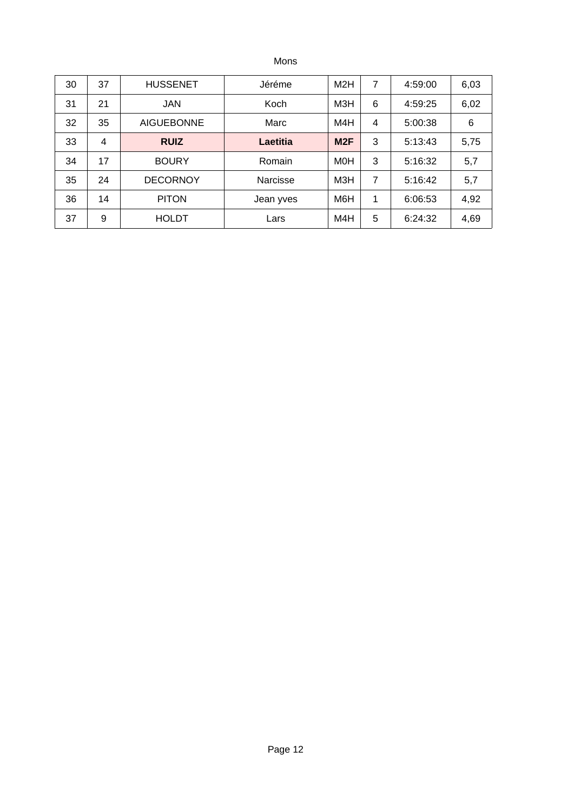Mons

| 30 | 37 | <b>HUSSENET</b>   | Jéréme    | M2H        | 7 | 4:59:00 | 6,03 |
|----|----|-------------------|-----------|------------|---|---------|------|
| 31 | 21 | <b>JAN</b>        | Koch      | M3H        | 6 | 4:59:25 | 6,02 |
| 32 | 35 | <b>AIGUEBONNE</b> | Marc      | M4H        | 4 | 5:00:38 | 6    |
| 33 | 4  | <b>RUIZ</b>       | Laetitia  | M2F        | 3 | 5:13:43 | 5,75 |
| 34 | 17 | <b>BOURY</b>      | Romain    | <b>MOH</b> | 3 | 5:16:32 | 5,7  |
| 35 | 24 | <b>DECORNOY</b>   | Narcisse  | МЗН        | 7 | 5:16:42 | 5,7  |
| 36 | 14 | <b>PITON</b>      | Jean yves | M6H        | 1 | 6:06:53 | 4,92 |
| 37 | 9  | <b>HOLDT</b>      | Lars      | M4H        | 5 | 6:24:32 | 4,69 |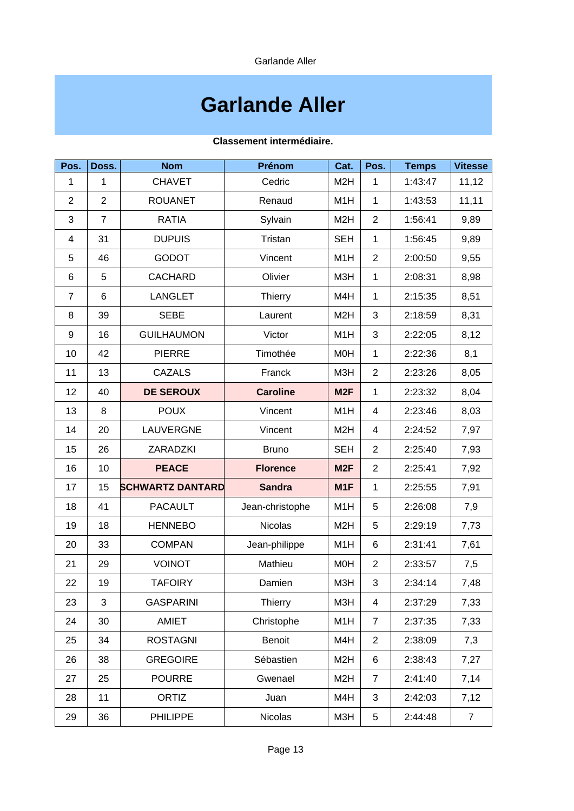Garlande Aller

## **Garlande Aller**

| Pos.           | Doss.          | <b>Nom</b>              | Prénom          | Cat.             | Pos.           | <b>Temps</b> | <b>Vitesse</b> |
|----------------|----------------|-------------------------|-----------------|------------------|----------------|--------------|----------------|
| $\mathbf{1}$   | $\mathbf{1}$   | <b>CHAVET</b>           | Cedric          | M <sub>2</sub> H | $\mathbf{1}$   | 1:43:47      | 11,12          |
| $\overline{c}$ | 2              | <b>ROUANET</b>          | Renaud          | M1H              | $\mathbf{1}$   | 1:43:53      | 11,11          |
| 3              | $\overline{7}$ | <b>RATIA</b>            | Sylvain         | M <sub>2</sub> H | $\overline{2}$ | 1:56:41      | 9,89           |
| 4              | 31             | <b>DUPUIS</b>           | Tristan         | <b>SEH</b>       | $\mathbf{1}$   | 1:56:45      | 9,89           |
| 5              | 46             | <b>GODOT</b>            | Vincent         | M1H              | $\overline{c}$ | 2:00:50      | 9,55           |
| 6              | 5              | <b>CACHARD</b>          | Olivier         | M3H              | $\mathbf{1}$   | 2:08:31      | 8,98           |
| $\overline{7}$ | 6              | <b>LANGLET</b>          | Thierry         | M4H              | $\mathbf{1}$   | 2:15:35      | 8,51           |
| 8              | 39             | <b>SEBE</b>             | Laurent         | M <sub>2</sub> H | 3              | 2:18:59      | 8,31           |
| 9              | 16             | <b>GUILHAUMON</b>       | Victor          | M1H              | 3              | 2:22:05      | 8,12           |
| 10             | 42             | <b>PIERRE</b>           | Timothée        | M0H              | $\mathbf{1}$   | 2:22:36      | 8,1            |
| 11             | 13             | <b>CAZALS</b>           | Franck          | M3H              | $\overline{c}$ | 2:23:26      | 8,05           |
| 12             | 40             | <b>DE SEROUX</b>        | <b>Caroline</b> | M <sub>2F</sub>  | $\mathbf{1}$   | 2:23:32      | 8,04           |
| 13             | 8              | <b>POUX</b>             | Vincent         | M1H              | 4              | 2:23:46      | 8,03           |
| 14             | 20             | LAUVERGNE               | Vincent         | M <sub>2</sub> H | 4              | 2:24:52      | 7,97           |
| 15             | 26             | ZARADZKI                | <b>Bruno</b>    | <b>SEH</b>       | $\overline{c}$ | 2:25:40      | 7,93           |
| 16             | 10             | <b>PEACE</b>            | <b>Florence</b> | M <sub>2F</sub>  | $\overline{2}$ | 2:25:41      | 7,92           |
| 17             | 15             | <b>SCHWARTZ DANTARD</b> | <b>Sandra</b>   | M1F              | $\mathbf{1}$   | 2:25:55      | 7,91           |
| 18             | 41             | <b>PACAULT</b>          | Jean-christophe | M1H              | 5              | 2:26:08      | 7,9            |
| 19             | 18             | <b>HENNEBO</b>          | <b>Nicolas</b>  | M <sub>2</sub> H | 5              | 2:29:19      | 7,73           |
| 20             | 33             | <b>COMPAN</b>           | Jean-philippe   | M1H              | 6              | 2:31:41      | 7,61           |
| 21             | 29             | <b>VOINOT</b>           | Mathieu         | M <sub>O</sub> H | $\overline{c}$ | 2:33:57      | 7,5            |
| 22             | 19             | <b>TAFOIRY</b>          | Damien          | M3H              | 3              | 2:34:14      | 7,48           |
| 23             | 3              | <b>GASPARINI</b>        | Thierry         | M3H              | 4              | 2:37:29      | 7,33           |
| 24             | 30             | AMIET                   | Christophe      | M1H              | $\overline{7}$ | 2:37:35      | 7,33           |
| 25             | 34             | <b>ROSTAGNI</b>         | <b>Benoit</b>   | M4H              | $\overline{2}$ | 2:38:09      | 7,3            |
| 26             | 38             | <b>GREGOIRE</b>         | Sébastien       | M <sub>2</sub> H | 6              | 2:38:43      | 7,27           |
| 27             | 25             | <b>POURRE</b>           | Gwenael         | M <sub>2</sub> H | $\overline{7}$ | 2:41:40      | 7,14           |
| 28             | 11             | ORTIZ                   | Juan            | M4H              | 3              | 2:42:03      | 7,12           |
| 29             | 36             | <b>PHILIPPE</b>         | <b>Nicolas</b>  | M3H              | 5              | 2:44:48      | $\overline{7}$ |